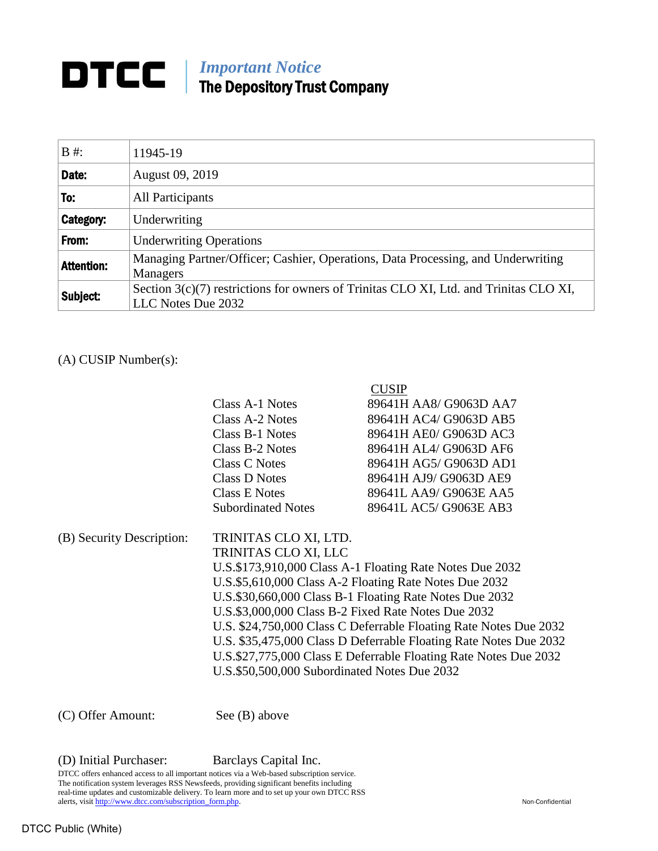## *Important Notice* The Depository Trust Company

| $B \#$ :          | 11945-19                                                                                                      |
|-------------------|---------------------------------------------------------------------------------------------------------------|
| Date:             | August 09, 2019                                                                                               |
| To:               | All Participants                                                                                              |
| Category:         | Underwriting                                                                                                  |
| From:             | <b>Underwriting Operations</b>                                                                                |
| <b>Attention:</b> | Managing Partner/Officer; Cashier, Operations, Data Processing, and Underwriting<br><b>Managers</b>           |
| Subject:          | Section $3(c)(7)$ restrictions for owners of Trinitas CLO XI, Ltd. and Trinitas CLO XI,<br>LLC Notes Due 2032 |

## (A) CUSIP Number(s):

|                           |                                                          | <b>CUSIP</b>                                                      |  |  |
|---------------------------|----------------------------------------------------------|-------------------------------------------------------------------|--|--|
|                           | Class A-1 Notes                                          | 89641H AA8/ G9063D AA7                                            |  |  |
|                           | Class A-2 Notes                                          | 89641H AC4/ G9063D AB5                                            |  |  |
|                           | Class B-1 Notes                                          | 89641H AE0/ G9063D AC3                                            |  |  |
|                           | Class B-2 Notes                                          | 89641H AL4/ G9063D AF6                                            |  |  |
|                           | Class C Notes                                            | 89641H AG5/ G9063D AD1                                            |  |  |
|                           | Class D Notes                                            | 89641H AJ9/ G9063D AE9                                            |  |  |
|                           | Class E Notes                                            | 89641L AA9/ G9063E AA5                                            |  |  |
|                           | <b>Subordinated Notes</b>                                | 89641L AC5/ G9063E AB3                                            |  |  |
| (B) Security Description: | TRINITAS CLO XI, LTD.                                    |                                                                   |  |  |
|                           | TRINITAS CLO XI, LLC                                     |                                                                   |  |  |
|                           | U.S.\$173,910,000 Class A-1 Floating Rate Notes Due 2032 |                                                                   |  |  |
|                           | U.S.\$5,610,000 Class A-2 Floating Rate Notes Due 2032   |                                                                   |  |  |
|                           | U.S.\$30,660,000 Class B-1 Floating Rate Notes Due 2032  |                                                                   |  |  |
|                           |                                                          | U.S.\$3,000,000 Class B-2 Fixed Rate Notes Due 2032               |  |  |
|                           |                                                          | U.S. \$24,750,000 Class C Deferrable Floating Rate Notes Due 2032 |  |  |
|                           |                                                          | U.S. \$35,475,000 Class D Deferrable Floating Rate Notes Due 2032 |  |  |
|                           |                                                          | U.S.\$27,775,000 Class E Deferrable Floating Rate Notes Due 2032  |  |  |
|                           | U.S.\$50,500,000 Subordinated Notes Due 2032             |                                                                   |  |  |
|                           |                                                          |                                                                   |  |  |

(C) Offer Amount: See (B) above

(D) Initial Purchaser: Barclays Capital Inc.

DTCC offers enhanced access to all important notices via a Web-based subscription service. The notification system leverages RSS Newsfeeds, providing significant benefits including real-time updates and customizable delivery. To learn more and to set up your own DTCC RSS alerts, visit [http://www.dtcc.com/subscription\\_form.php.](http://www.dtcc.com/subscription_form.php) Non-Confidential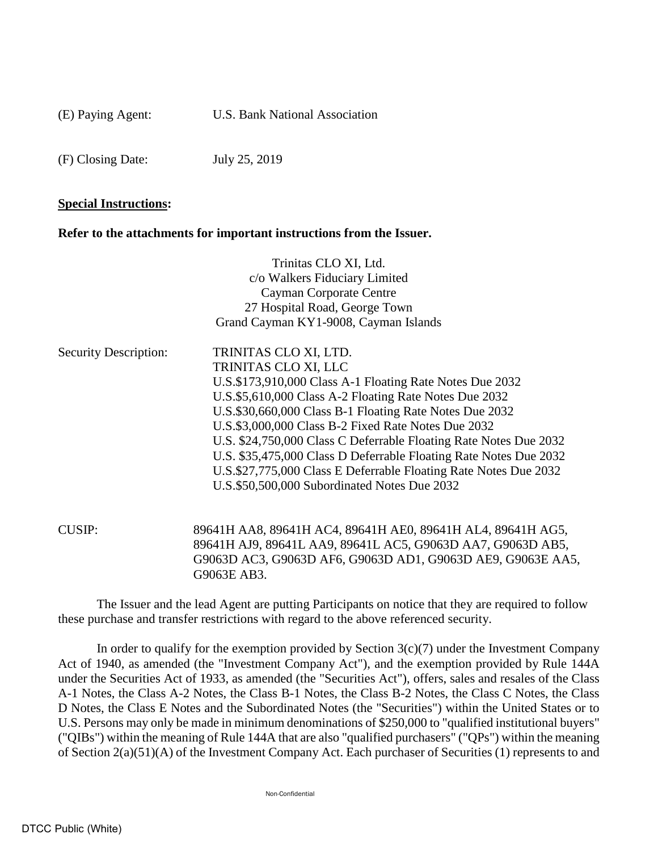(E) Paying Agent: U.S. Bank National Association

(F) Closing Date: July 25, 2019

## **Special Instructions:**

## **Refer to the attachments for important instructions from the Issuer.**

|                              | Trinitas CLO XI, Ltd.                                                                                                                                                                                    |
|------------------------------|----------------------------------------------------------------------------------------------------------------------------------------------------------------------------------------------------------|
|                              | c/o Walkers Fiduciary Limited                                                                                                                                                                            |
|                              | Cayman Corporate Centre                                                                                                                                                                                  |
|                              | 27 Hospital Road, George Town                                                                                                                                                                            |
|                              | Grand Cayman KY1-9008, Cayman Islands                                                                                                                                                                    |
| <b>Security Description:</b> | TRINITAS CLO XI, LTD.                                                                                                                                                                                    |
|                              | TRINITAS CLO XI, LLC                                                                                                                                                                                     |
|                              | U.S.\$173,910,000 Class A-1 Floating Rate Notes Due 2032                                                                                                                                                 |
|                              | U.S.\$5,610,000 Class A-2 Floating Rate Notes Due 2032                                                                                                                                                   |
|                              | U.S.\$30,660,000 Class B-1 Floating Rate Notes Due 2032                                                                                                                                                  |
|                              | U.S.\$3,000,000 Class B-2 Fixed Rate Notes Due 2032                                                                                                                                                      |
|                              | U.S. \$24,750,000 Class C Deferrable Floating Rate Notes Due 2032                                                                                                                                        |
|                              | U.S. \$35,475,000 Class D Deferrable Floating Rate Notes Due 2032                                                                                                                                        |
|                              | U.S.\$27,775,000 Class E Deferrable Floating Rate Notes Due 2032                                                                                                                                         |
|                              | U.S.\$50,500,000 Subordinated Notes Due 2032                                                                                                                                                             |
|                              |                                                                                                                                                                                                          |
| <b>CUSIP:</b>                | 89641H AA8, 89641H AC4, 89641H AE0, 89641H AL4, 89641H AG5,<br>89641H AJ9, 89641L AA9, 89641L AC5, G9063D AA7, G9063D AB5,<br>G9063D AC3, G9063D AF6, G9063D AD1, G9063D AE9, G9063E AA5,<br>G9063E AB3. |
|                              |                                                                                                                                                                                                          |

The Issuer and the lead Agent are putting Participants on notice that they are required to follow these purchase and transfer restrictions with regard to the above referenced security.

In order to qualify for the exemption provided by Section  $3(c)(7)$  under the Investment Company Act of 1940, as amended (the "Investment Company Act"), and the exemption provided by Rule 144A under the Securities Act of 1933, as amended (the "Securities Act"), offers, sales and resales of the Class A-1 Notes, the Class A-2 Notes, the Class B-1 Notes, the Class B-2 Notes, the Class C Notes, the Class D Notes, the Class E Notes and the Subordinated Notes (the "Securities") within the United States or to U.S. Persons may only be made in minimum denominations of \$250,000 to "qualified institutional buyers" ("QIBs") within the meaning of Rule 144A that are also "qualified purchasers" ("QPs") within the meaning of Section 2(a)(51)(A) of the Investment Company Act. Each purchaser of Securities (1) represents to and